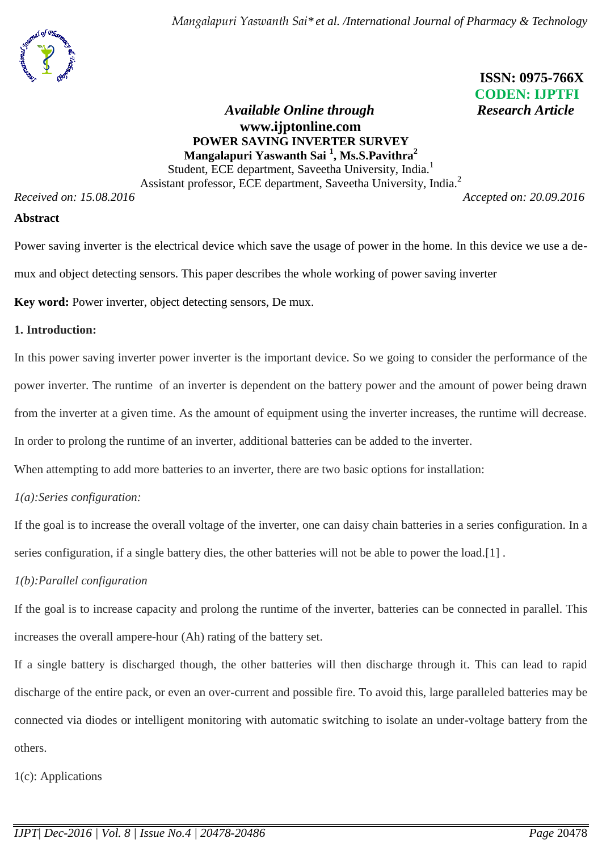# **ISSN: 0975-766X CODEN: IJPTFI**

# *Available Online through* Research Article **www.ijptonline.com POWER SAVING INVERTER SURVEY Mangalapuri Yaswanth Sai <sup>1</sup> , Ms.S.Pavithra<sup>2</sup>** Student, ECE department, Saveetha University, India.<sup>1</sup>

Assistant professor, ECE department, Saveetha University, India.<sup>2</sup>

*Received on: 15.08.2016 Accepted on: 20.09.2016*

#### **Abstract**

Power saving inverter is the electrical device which save the usage of power in the home. In this device we use a demux and object detecting sensors. This paper describes the whole working of power saving inverter

**Key word:** Power inverter, object detecting sensors, De mux.

# **1. Introduction:**

In this power saving inverter power inverter is the important device. So we going to consider the performance of the power inverter. The runtime of an inverter is dependent on the battery power and the amount of power being drawn from the inverter at a given time. As the amount of equipment using the inverter increases, the runtime will decrease.

In order to prolong the runtime of an inverter, additional batteries can be added to the inverter.

When attempting to add more batteries to an inverter, there are two basic options for installation:

# *1(a):Series configuration:*

If the goal is to increase the overall voltage of the inverter, one can [daisy chain](https://en.wikipedia.org/wiki/Daisy_chain_(electrical_engineering)) batteries in a series configuration. In a series configuration, if a single battery dies, the other batteries will not be able to power the load.[1] .

# *1(b):Parallel configuration*

If the goal is to increase capacity and prolong the runtime of the inverter, batteries can be connected [in parallel.](https://en.wikipedia.org/wiki/Parallel_circuit) This increases the overall [ampere-hour](https://en.wikipedia.org/wiki/Ampere-hour) (Ah) rating of the battery set.

If a single battery is discharged though, the other batteries will then discharge through it. This can lead to rapid discharge of the entire pack, or even an over-current and possible fire. To avoid this, large paralleled batteries may be connected via diodes or intelligent monitoring with automatic switching to isolate an under-voltage battery from the others.

1(c): Applications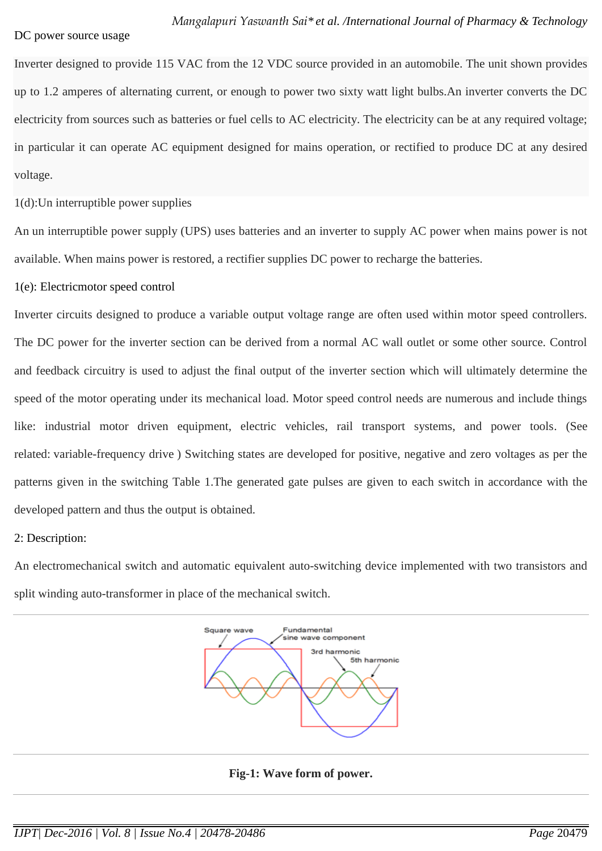#### DC power source usage

Inverter designed to provide 115 VAC from the 12 VDC source provided in an automobile. The unit shown provides up to 1.2 amperes of alternating current, or enough to power two sixty watt light bulbs.An inverter converts the DC electricity from sources such as [batteries](https://en.wikipedia.org/wiki/Battery_(electrical)) or [fuel cells](https://en.wikipedia.org/wiki/Fuel_cell) to AC electricity. The electricity can be at any required voltage; in particular it can operate AC equipment designed for mains operation, or rectified to produce DC at any desired voltage.

1(d):Un interruptible power supplies

An [un interruptible power supply](https://en.wikipedia.org/wiki/Uninterruptible_power_supply) (UPS) uses batteries and an inverter to supply AC power when mains power is not available. When mains power is restored, a [rectifier](https://en.wikipedia.org/wiki/Rectifier) supplies DC power to recharge the batteries.

#### 1(e): Electricmotor speed control

Inverter circuits designed to produce a variable output voltage range are often used within motor speed controllers. The DC power for the inverter section can be derived from a normal AC wall outlet or some other source. Control and feedback circuitry is used to adjust the final output of the inverter section which will ultimately determine the speed of the motor operating under its mechanical load. Motor speed control needs are numerous and include things like: industrial motor driven equipment, electric vehicles, rail transport systems, and power tools. (See related: [variable-frequency drive](https://en.wikipedia.org/wiki/Variable-frequency_drive) ) Switching states are developed for positive, negative and zero voltages as per the patterns given in the switching Table 1.The generated gate pulses are given to each switch in accordance with the developed pattern and thus the output is obtained.

# 2: Description:

An [electromechanical switch](https://en.wikipedia.org/wiki/Electromechanical_switch) and automatic equivalent auto-switching device implemented with two transistors and split winding auto-transformer in place of the mechanical switch.



# **Fig-1: Wave form of power.**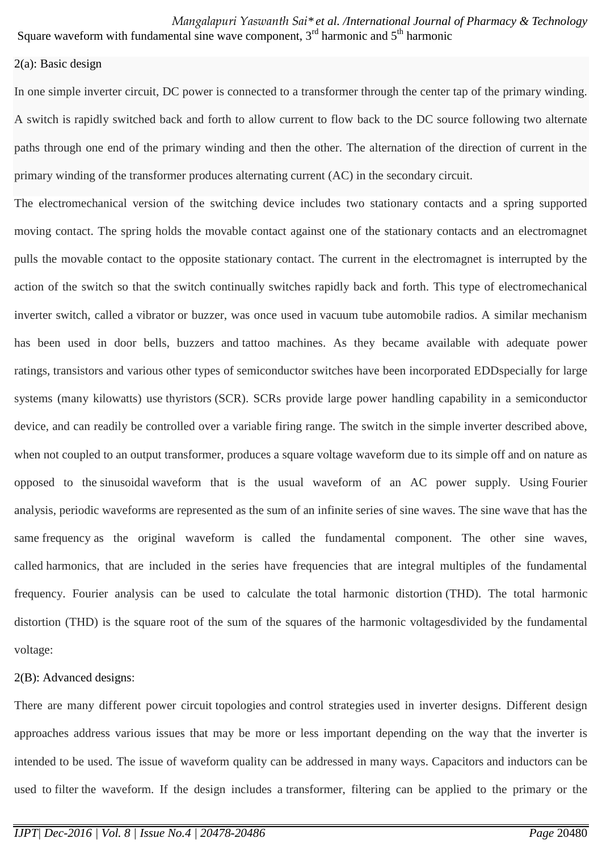Square waveform with fundamental sine wave component,  $3<sup>rd</sup>$  harmonic and  $5<sup>th</sup>$  harmonic

## 2(a): Basic design

In one simple inverter circuit, DC power is connected to a [transformer](https://en.wikipedia.org/wiki/Transformer) through the center tap of the primary winding. A switch is rapidly switched back and forth to allow current to flow back to the DC source following two alternate paths through one end of the primary winding and then the other. The alternation of the direction of current in the primary winding of the transformer produces [alternating current](https://en.wikipedia.org/wiki/Alternating_current) (AC) in the secondary circuit.

The electromechanical version of the switching device includes two stationary contacts and a spring supported moving contact. The spring holds the movable contact against one of the stationary contacts and an electromagnet pulls the movable contact to the opposite stationary contact. The current in the electromagnet is interrupted by the action of the switch so that the switch continually switches rapidly back and forth. This type of electromechanical inverter switch, called a [vibrator](https://en.wikipedia.org/wiki/Vibrator_(electronic)) or buzzer, was once used in [vacuum tube](https://en.wikipedia.org/wiki/Vacuum_tube) automobile radios. A similar mechanism has been used in door bells, buzzers and [tattoo machines.](https://en.wikipedia.org/wiki/Tattoo_machine) As they became available with adequate power ratings, [transistors](https://en.wikipedia.org/wiki/Transistors) and various other types of [semiconductor](https://en.wikipedia.org/wiki/Semiconductor) switches have been incorporated EDDspecially for large systems (many kilowatts) use [thyristors](https://en.wikipedia.org/wiki/Thyristors) (SCR). SCRs provide large power handling capability in a semiconductor device, and can readily be controlled over a variable firing range. The switch in the simple inverter described above, when not coupled to an output transformer, produces a square voltage [waveform](https://en.wikipedia.org/wiki/Waveform) due to its simple off and on nature as opposed to the [sinusoidal](https://en.wikipedia.org/wiki/Sine_wave) waveform that is the usual waveform of an AC power supply. Using [Fourier](https://en.wikipedia.org/wiki/Fourier_analysis)  [analysis,](https://en.wikipedia.org/wiki/Fourier_analysis) [periodic](https://en.wikipedia.org/wiki/Periodic_function) waveforms are represented as the sum of an infinite series of sine waves. The sine wave that has the same [frequency](https://en.wikipedia.org/wiki/Frequency) as the original waveform is called the fundamental component. The other sine waves, called harmonics, that are included in the series have frequencies that are integral multiples of the fundamental frequency. Fourier analysis can be used to calculate the [total harmonic distortion](https://en.wikipedia.org/wiki/Total_harmonic_distortion) (THD). The total harmonic distortion (THD) is the square root of the sum of the squares of the harmonic voltagesdivided by the fundamental voltage:

# 2(B): Advanced designs:

There are many different power circuit [topologies](https://en.wikipedia.org/wiki/Topology_(electronics)) and [control strategies](https://en.wikipedia.org/wiki/Control_system) used in inverter designs. Different design approaches address various issues that may be more or less important depending on the way that the inverter is intended to be used. The issue of waveform quality can be addressed in many ways. [Capacitors](https://en.wikipedia.org/wiki/Capacitor) and [inductors](https://en.wikipedia.org/wiki/Inductor) can be used to [filter](https://en.wikipedia.org/wiki/Electronic_filter) the waveform. If the design includes a [transformer,](https://en.wikipedia.org/wiki/Transformer) filtering can be applied to the primary or the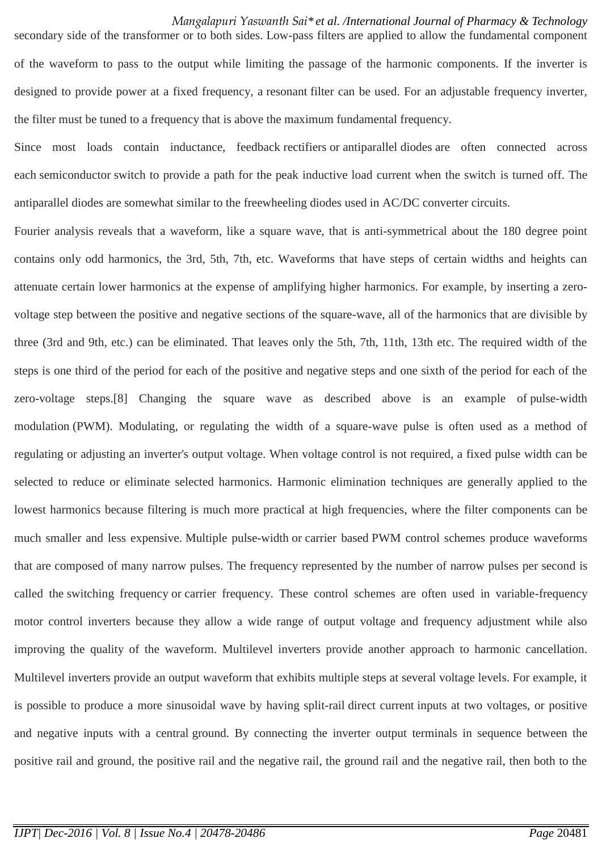secondary side of the transformer or to both sides. [Low-pass filters](https://en.wikipedia.org/wiki/Low-pass_filters) are applied to allow the fundamental component of the waveform to pass to the output while limiting the passage of the harmonic components. If the inverter is designed to provide power at a fixed frequency, a [resonant](https://en.wikipedia.org/wiki/Resonance) filter can be used. For an adjustable frequency inverter, the filter must be tuned to a frequency that is above the maximum fundamental frequency.

Since most loads contain inductance, feedback [rectifiers](https://en.wikipedia.org/wiki/Rectifier) or [antiparallel](https://en.wikipedia.org/wiki/Antiparallel_(electronics)) [diodes](https://en.wikipedia.org/wiki/Diode) are often connected across each [semiconductor](https://en.wikipedia.org/wiki/Semiconductor) switch to provide a path for the peak inductive load current when the switch is turned off. The antiparallel diodes are somewhat similar to the [freewheeling diodes](https://en.wikipedia.org/wiki/Flyback_diode) used in AC/DC converter circuits.

Fourier analysis reveals that a waveform, like a square wave, that is anti-symmetrical about the 180 degree point contains only odd harmonics, the 3rd, 5th, 7th, etc. Waveforms that have steps of certain widths and heights can attenuate certain lower harmonics at the expense of amplifying higher harmonics. For example, by inserting a zerovoltage step between the positive and negative sections of the square-wave, all of the harmonics that are divisible by three (3rd and 9th, etc.) can be eliminated. That leaves only the 5th, 7th, 11th, 13th etc. The required width of the steps is one third of the period for each of the positive and negative steps and one sixth of the period for each of the zero-voltage steps[.\[8\]](https://en.wikipedia.org/wiki/Power_inverter#cite_note-8) Changing the square wave as described above is an example of [pulse-width](https://en.wikipedia.org/wiki/Pulse-width_modulation)  [modulation](https://en.wikipedia.org/wiki/Pulse-width_modulation) (PWM). Modulating, or regulating the width of a square-wave pulse is often used as a method of regulating or adjusting an inverter's output voltage. When voltage control is not required, a fixed pulse width can be selected to reduce or eliminate selected harmonics. Harmonic elimination techniques are generally applied to the lowest harmonics because filtering is much more practical at high frequencies, where the filter components can be much smaller and less expensive. Multiple pulse-width or carrier based PWM control schemes produce waveforms that are composed of many narrow pulses. The frequency represented by the number of narrow pulses per second is called the switching frequency or carrier frequency. These control schemes are often used in variable-frequency motor control inverters because they allow a wide range of output voltage and frequency adjustment while also improving the quality of the waveform. Multilevel inverters provide another approach to harmonic cancellation. Multilevel inverters provide an output waveform that exhibits multiple steps at several voltage levels. For example, it is possible to produce a more sinusoidal wave by having split-rail [direct current](https://en.wikipedia.org/wiki/Direct_current) inputs at two voltages, or positive and negative inputs with a central [ground.](https://en.wikipedia.org/wiki/Ground_(electricity)) By connecting the inverter output terminals in sequence between the positive rail and ground, the positive rail and the negative rail, the ground rail and the negative rail, then both to the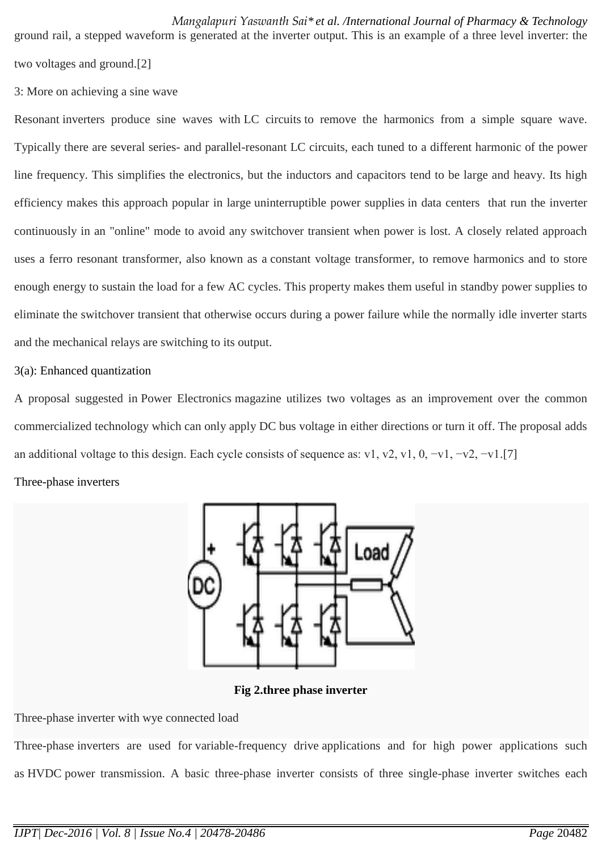ground rail, a stepped waveform is generated at the inverter output. This is an example of a three level inverter: the two voltages and ground.[2]

3: More on achieving a sine wave

[Resonant](https://en.wikipedia.org/wiki/Electrical_resonance) inverters produce sine waves with [LC circuits](https://en.wikipedia.org/wiki/LC_circuit) to remove the harmonics from a simple square wave. Typically there are several series- and parallel-resonant LC circuits, each tuned to a different harmonic of the power line frequency. This simplifies the electronics, but the inductors and capacitors tend to be large and heavy. Its high efficiency makes this approach popular in large [uninterruptible power supplies](https://en.wikipedia.org/wiki/Uninterruptible_power_supply) in data centers that run the inverter continuously in an "online" mode to avoid any switchover transient when power is lost. A closely related approach uses a ferro resonant transformer, also known as a [constant voltage transformer,](https://en.wikipedia.org/wiki/Voltage_regulator) to remove harmonics and to store enough energy to sustain the load for a few AC cycles. This property makes them useful in [standby power supplies](https://en.wikipedia.org/wiki/Uninterruptible_power_supply#Offline) to eliminate the switchover transient that otherwise occurs during a power failure while the normally idle inverter starts and the mechanical relays are switching to its output.

# 3(a): Enhanced quantization

A proposal suggested in Power Electronics magazine utilizes two voltages as an improvement over the common commercialized technology which can only apply DC bus voltage in either directions or turn it off. The proposal adds an additional voltage to this design. Each cycle consists of sequence as: v1, v2, v1, 0, −v1, −v2, −v1[.\[7\]](https://en.wikipedia.org/wiki/Power_inverter#cite_note-Hahn-7)

# Three-phase inverters



**Fig 2.three phase inverter**

Three-phase inverter with wye connected load

[Three-phase](https://en.wikipedia.org/wiki/Three-phase_electric_power) inverters are used for [variable-frequency drive](https://en.wikipedia.org/wiki/Variable-frequency_drive) applications and for high power applications such as [HVDC](https://en.wikipedia.org/wiki/High-voltage_direct_current) power transmission. A basic three-phase inverter consists of three single-phase inverter switches each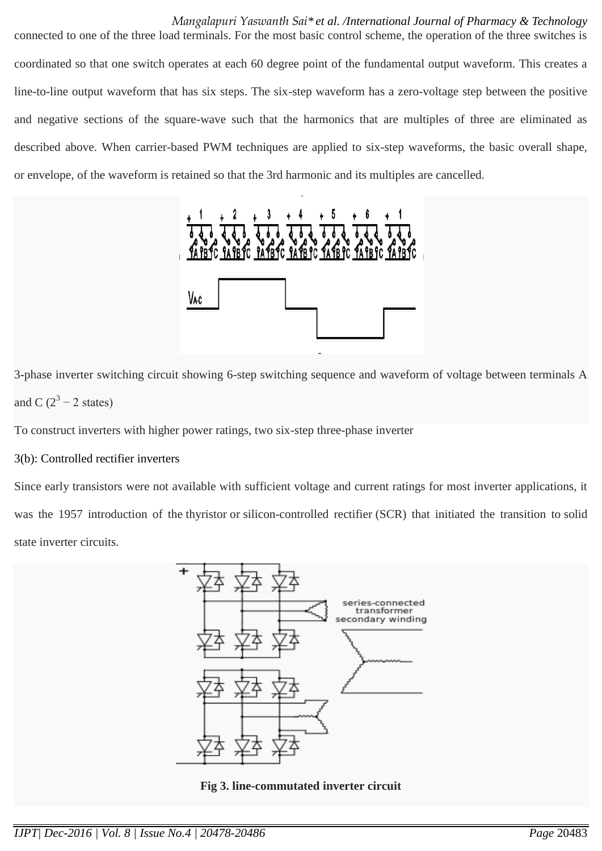connected to one of the three load terminals. For the most basic control scheme, the operation of the three switches is coordinated so that one switch operates at each 60 degree point of the fundamental output waveform. This creates a line-to-line output waveform that has six steps. The six-step waveform has a zero-voltage step between the positive and negative sections of the square-wave such that the harmonics that are multiples of three are eliminated as described above. When carrier-based PWM techniques are applied to six-step waveforms, the basic overall shape, or envelope, of the waveform is retained so that the 3rd harmonic and its multiples are cancelled.



3-phase inverter switching circuit showing 6-step switching sequence and waveform of voltage between terminals A and C  $(2^3 – 2$  states)

To construct inverters with higher power ratings, two six-step three-phase inverter

# 3(b): Controlled rectifier inverters

Since early transistors were not available with sufficient voltage and current ratings for most inverter applications, it was the 1957 introduction of the [thyristor](https://en.wikipedia.org/wiki/Thyristor) or [silicon-controlled rectifier](https://en.wikipedia.org/wiki/Silicon-controlled_rectifier) (SCR) that initiated the transition to [solid](https://en.wikipedia.org/wiki/Solid_state_electronics)  [state](https://en.wikipedia.org/wiki/Solid_state_electronics) inverter circuits.



**Fig 3. line-commutated inverter circuit**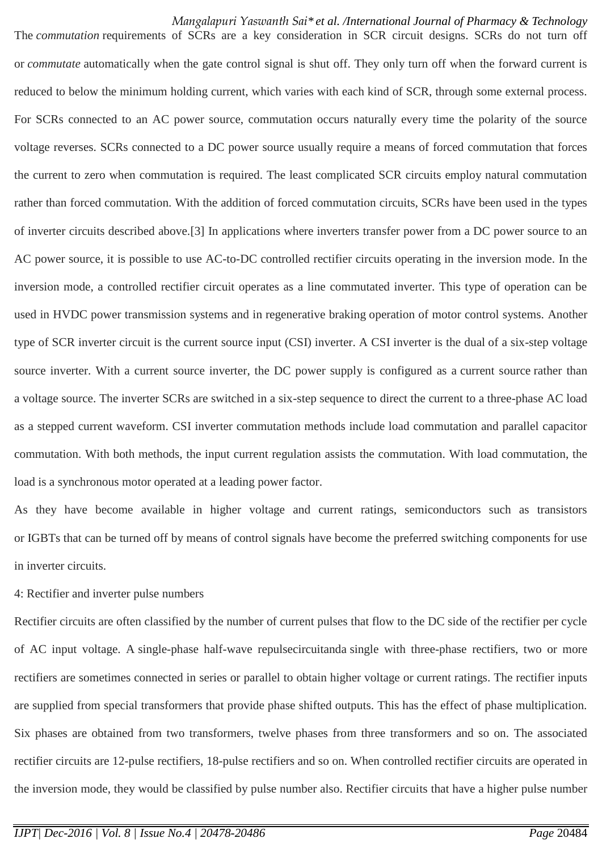The *commutation* requirements of SCRs are a key consideration in SCR circuit designs. SCRs do not turn off or *commutate* automatically when the gate control signal is shut off. They only turn off when the forward current is reduced to below the minimum holding current, which varies with each kind of SCR, through some external process. For SCRs connected to an AC power source, commutation occurs naturally every time the polarity of the source voltage reverses. SCRs connected to a DC power source usually require a means of forced commutation that forces the current to zero when commutation is required. The least complicated SCR circuits employ natural commutation rather than forced commutation. With the addition of forced commutation circuits, SCRs have been used in the types of inverter circuits described above.[3] In applications where inverters transfer power from a DC power source to an AC power source, it is possible to use AC-to-DC controlled rectifier circuits operating in the inversion mode. In the inversion mode, a controlled rectifier circuit operates as a line commutated inverter. This type of operation can be used in HVDC power transmission systems and in [regenerative braking](https://en.wikipedia.org/wiki/Regenerative_brake) operation of motor control systems. Another type of SCR inverter circuit is the current source input (CSI) inverter. A CSI inverter is the [dual](https://en.wikipedia.org/wiki/Dual_(electronics)) of a six-step voltage source inverter. With a current source inverter, the DC power supply is configured as a [current source](https://en.wikipedia.org/wiki/Current_source) rather than a [voltage source.](https://en.wikipedia.org/wiki/Voltage_source) The inverter SCRs are switched in a six-step sequence to direct the current to a three-phase AC load as a stepped current waveform. CSI inverter commutation methods include load commutation and parallel capacitor commutation. With both methods, the input current regulation assists the commutation. With load commutation, the load is a synchronous motor operated at a leading power factor.

As they have become available in higher voltage and current ratings, semiconductors such as transistors or [IGBTs](https://en.wikipedia.org/wiki/IGBT) that can be turned off by means of control signals have become the preferred switching components for use in inverter circuits.

4: Rectifier and inverter pulse numbers

Rectifier circuits are often classified by the number of current pulses that flow to the DC side of the rectifier per cycle of AC input voltage. A single-phase half-wave repulsecircuitanda single with three-phase rectifiers, two or more rectifiers are sometimes connected in series or parallel to obtain higher voltage or current ratings. The rectifier inputs are supplied from special transformers that provide phase shifted outputs. This has the effect of phase multiplication. Six phases are obtained from two transformers, twelve phases from three transformers and so on. The associated rectifier circuits are 12-pulse rectifiers, 18-pulse rectifiers and so on. When controlled rectifier circuits are operated in the inversion mode, they would be classified by pulse number also. Rectifier circuits that have a higher pulse number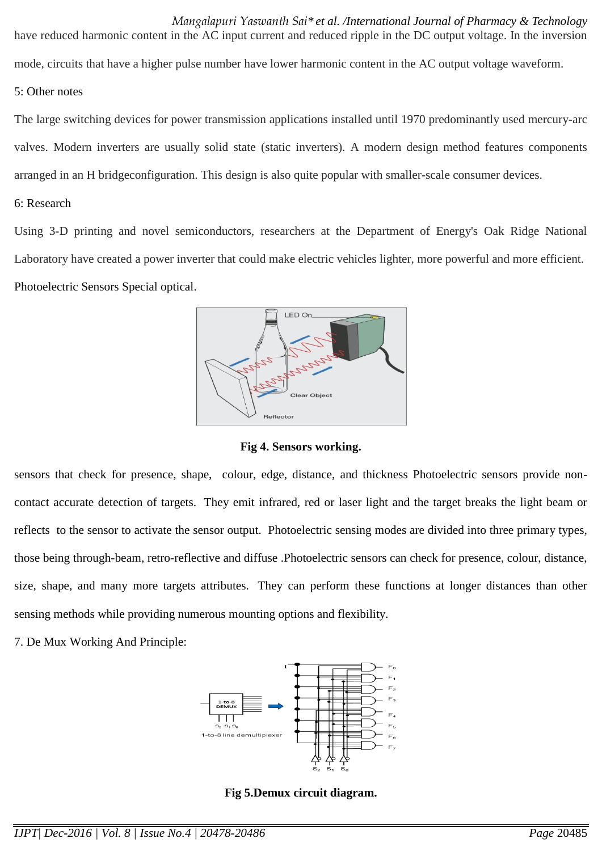have reduced harmonic content in the AC input current and reduced ripple in the DC output voltage. In the inversion mode, circuits that have a higher pulse number have lower harmonic content in the AC output voltage waveform.

#### 5: Other notes

The large switching devices for power transmission applications installed until 1970 predominantly used [mercury-arc](https://en.wikipedia.org/wiki/Mercury-arc_valve)  [valves.](https://en.wikipedia.org/wiki/Mercury-arc_valve) Modern inverters are usually solid state (static inverters). A modern design method features components arranged in an [H bridgec](https://en.wikipedia.org/wiki/H_bridge)onfiguration. This design is also quite popular with smaller-scale consumer devices.

#### 6: Research

Using 3-D printing and novel semiconductors, researchers at the Department of Energy's Oak Ridge National Laboratory have created a power inverter that could make electric vehicles lighter, more powerful and more efficient. Photoelectric Sensors Special optical.



**Fig 4. Sensors working.**

sensors that check for presence, shape, colour, edge, distance, and thickness Photoelectric sensors provide noncontact accurate detection of targets. They emit infrared, red or laser light and the target breaks the light beam or reflects to the sensor to activate the sensor output. Photoelectric sensing modes are divided into three primary types, those being through-beam, retro-reflective and diffuse .Photoelectric sensors can check for presence, colour, distance, size, shape, and many more targets attributes. They can perform these functions at longer distances than other sensing methods while providing numerous mounting options and flexibility.

7. De Mux Working And Principle:



**Fig 5.Demux circuit diagram.**